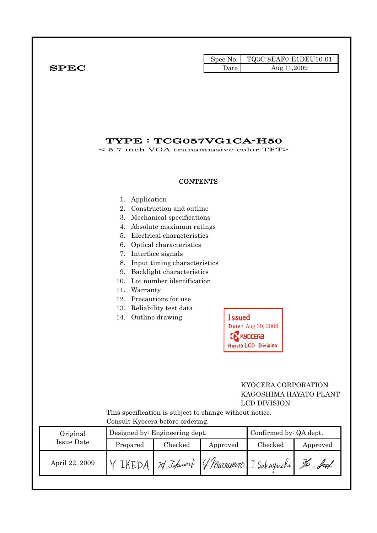|                   |                                                                                                 |                                                                                                                                                                                                                                                                                                              | Spec No. | TQ3C-8EAF0-E1DEU10-01                                                                     |          |
|-------------------|-------------------------------------------------------------------------------------------------|--------------------------------------------------------------------------------------------------------------------------------------------------------------------------------------------------------------------------------------------------------------------------------------------------------------|----------|-------------------------------------------------------------------------------------------|----------|
| <b>SPEC</b>       |                                                                                                 |                                                                                                                                                                                                                                                                                                              | Date     | Aug 11,2009                                                                               |          |
|                   | $TYPE : TCG057VG1CA-H50$<br>$< 5.7$ inch VGA transmissive color TFT>                            |                                                                                                                                                                                                                                                                                                              |          |                                                                                           |          |
|                   |                                                                                                 | <b>CONTENTS</b>                                                                                                                                                                                                                                                                                              |          |                                                                                           |          |
|                   | 1. Application<br>4.<br>5.<br>7. Interface signals<br>9.<br>11. Warranty<br>14. Outline drawing | 2. Construction and outline<br>3. Mechanical specifications<br>Absolute maximum ratings<br>Electrical characteristics<br>6. Optical characteristics<br>8. Input timing characteristics<br>Backlight characteristics<br>10. Lot number identification<br>12. Precautions for use<br>13. Reliability test data | Issued   | Date: Aug 20, 2009<br><b>KYDCERƏ</b><br><b>Hayato LCD Division</b><br>KYOCERA CORPORATION |          |
|                   | This specification is subject to change without notice.<br>Consult Kyocera before ordering.     |                                                                                                                                                                                                                                                                                                              |          | KAGOSHIMA HAYATO PLANT<br><b>LCD DIVISION</b>                                             |          |
| Original          |                                                                                                 | Designed by: Engineering dept.                                                                                                                                                                                                                                                                               |          | Confirmed by: QA dept.                                                                    |          |
| <b>Issue Date</b> | Prepared                                                                                        | Checked                                                                                                                                                                                                                                                                                                      | Approved | Checked                                                                                   | Approved |
|                   |                                                                                                 |                                                                                                                                                                                                                                                                                                              |          |                                                                                           |          |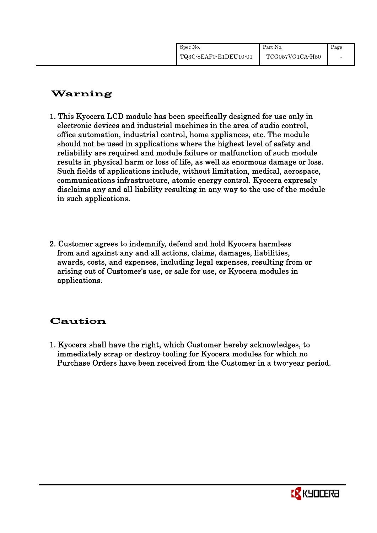| Spec No.              | Part No.        | Page |
|-----------------------|-----------------|------|
| TQ3C-8EAF0-E1DEU10-01 | TCG057VG1CA-H50 |      |

# Warning

- 1. This Kyocera LCD module has been specifically designed for use only in electronic devices and industrial machines in the area of audio control, office automation, industrial control, home appliances, etc. The module should not be used in applications where the highest level of safety and reliability are required and module failure or malfunction of such module results in physical harm or loss of life, as well as enormous damage or loss. Such fields of applications include, without limitation, medical, aerospace, communications infrastructure, atomic energy control. Kyocera expressly disclaims any and all liability resulting in any way to the use of the module in such applications.
- 2. Customer agrees to indemnify, defend and hold Kyocera harmless from and against any and all actions, claims, damages, liabilities, awards, costs, and expenses, including legal expenses, resulting from or arising out of Customer's use, or sale for use, or Kyocera modules in applications.

# Caution

1. Kyocera shall have the right, which Customer hereby acknowledges, to immediately scrap or destroy tooling for Kyocera modules for which no Purchase Orders have been received from the Customer in a two-year period.

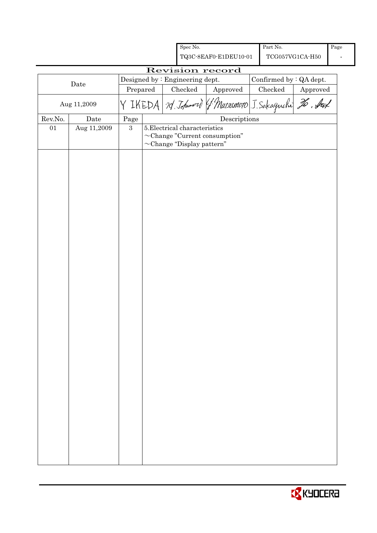|                 |                                                                   |            | Spec No.                                                                                                |                                                       | Part No.      |                              | Page |
|-----------------|-------------------------------------------------------------------|------------|---------------------------------------------------------------------------------------------------------|-------------------------------------------------------|---------------|------------------------------|------|
|                 |                                                                   |            |                                                                                                         | TQ3C-8EAF0-E1DEU10-01                                 |               | $\rm TCG057VG1CA\text{-}H50$ |      |
| Revision record |                                                                   |            |                                                                                                         |                                                       |               |                              |      |
|                 | Designed by: Engineering dept.<br>Confirmed by : QA dept.<br>Date |            |                                                                                                         |                                                       |               |                              |      |
|                 |                                                                   | Prepared   | Checked                                                                                                 | Approved                                              | $\rm Checked$ | ${\Large\bf Approved}$       |      |
|                 | Aug 11,2009                                                       |            |                                                                                                         | Y IKEDA 79 Johnnord (1 Marsemoto J. Sakaguchi 26. Auf |               |                              |      |
| Rev.No.         | $\rm{\textbf{Date}}$                                              | Page       |                                                                                                         | $\label{eq:2} \textbf{Descriptions}$                  |               |                              |      |
| 01              | Aug 11,2009                                                       | $\sqrt{3}$ | 5. Electrical characteristics<br>$\sim$ Change "Current consumption"<br>$\sim$ Change "Display pattern" |                                                       |               |                              |      |
|                 |                                                                   |            |                                                                                                         |                                                       |               |                              |      |

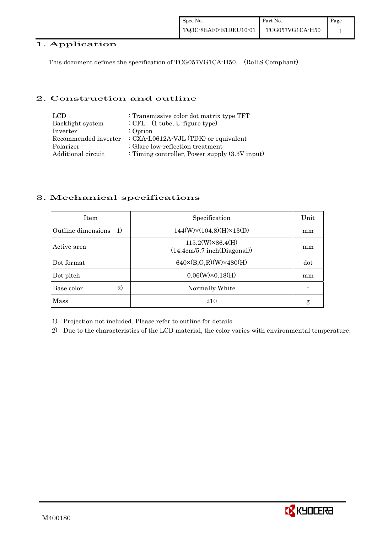#### 1. Application

This document defines the specification of TCG057VG1CA-H50. (RoHS Compliant)

#### 2. Construction and outline

| LCD.                 | : Transmissive color dot matrix type TFT          |
|----------------------|---------------------------------------------------|
| Backlight system     | $:$ CFL $(1$ tube, U-figure type)                 |
| Inverter             | $:$ Option                                        |
| Recommended inverter | : CXA-L0612A-VJL (TDK) or equivalent              |
| Polarizer            | : Glare low-reflection treatment                  |
| Additional circuit   | : Timing controller, Power supply $(3.3V)$ input) |

#### 3. Mechanical specifications

| <b>Item</b>                | Specification                                          | Unit |
|----------------------------|--------------------------------------------------------|------|
| Outline dimensions<br>-1)  | $144(W)\times(104.8)(H)\times13(D)$                    | mm   |
| Active area                | $115.2(W)\times86.4(H)$<br>(14.4cm/5.7 inch(Diagonal)) | mm   |
| Dot format                 | $640 \times (B,G,R)(W) \times 480(H)$                  | dot  |
| Dot pitch                  | $0.06(W)\times0.18(H)$                                 | mm   |
| $\mathbf{2}$<br>Base color | Normally White                                         |      |
| Mass                       | 210                                                    | g    |

1) Projection not included. Please refer to outline for details.

2) Due to the characteristics of the LCD material, the color varies with environmental temperature.

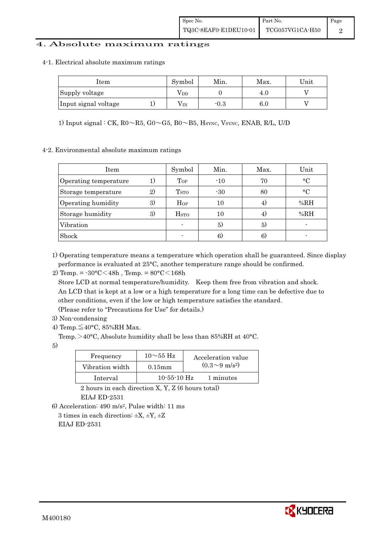#### 4. Absolute maximum ratings

#### 4-1.Electrical absolute maximum ratings

| Item                 | Symbol       | Min.   | Max.    | Unit |
|----------------------|--------------|--------|---------|------|
| Supply voltage       | $\rm V_{DD}$ |        | 4.0     |      |
| Input signal voltage | $\rm V_{IN}$ | $-0.3$ | $6.0\,$ |      |

1) Input signal : CK,  $R0 \sim R5$ ,  $G0 \sim G5$ ,  $B0 \sim B5$ ,  $H<sub>SYNC</sub>$ ,  $V<sub>SYNC</sub>$ ,  $ENAB$ ,  $R/L$ ,  $U/D$ 

#### 4-2. Environmental absolute maximum ratings

| Item                  |                   | Symbol                  | Min.  | Max. | Unit        |
|-----------------------|-------------------|-------------------------|-------|------|-------------|
| Operating temperature |                   | Top                     | $-10$ | 70   | $\circ$ C   |
| Storage temperature   | $\left( 2\right)$ | <b>T</b> <sub>STO</sub> | $-30$ | 80   | $^{\circ}C$ |
| Operating humidity    | 3)                | $H_{OP}$                | 10    | 4)   | %RH         |
| Storage humidity      | 3)                | <b>H</b> <sub>sto</sub> | 10    | 4)   | %RH         |
| Vibration             |                   |                         | 5)    | 5)   |             |
| Shock                 |                   |                         | 6)    | 6)   |             |

1) Operating temperature means a temperature which operation shall be guaranteed. Since display performance is evaluated at 25°C, another temperature range should be confirmed.

2) Temp. =  $-30^{\circ}$ C $<$ 48h, Temp. =  $80^{\circ}$ C $<$ 168h

 Store LCD at normal temperature/humidity. Keep them free from vibration and shock. An LCD that is kept at a low or a high temperature for a long time can be defective due to other conditions, even if the low or high temperature satisfies the standard. (Please refer to "Precautions for Use" for details.)

- 3) Non-condensing
- 4) Temp. $\leq$ 40°C, 85%RH Max.

5)

| Frequency       | $10\sim$ 55 Hz | Acceleration value         |
|-----------------|----------------|----------------------------|
| Vibration width | $0.15$ mm      | $(0.3{\sim}9~{\rm m/s^2})$ |
| Interval        | $10-55-10$ Hz  | 1 minutes                  |

 2 hours in each direction X, Y, Z (6 hours total) EIAJ ED-2531

6) Acceleration: 490 m/s2, Pulse width: 11 ms

3 times in each direction:  $\pm X$ ,  $\pm Y$ ,  $\pm Z$ EIAJ ED-2531



Temp. >40°C, Absolute humidity shall be less than 85%RH at 40°C.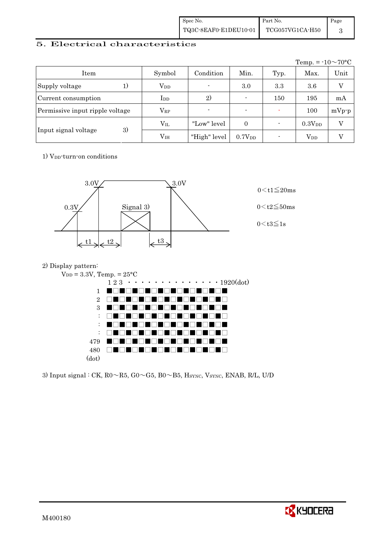| Spec No.              | Part No.        | Page |
|-----------------------|-----------------|------|
| TQ3C-8EAF0-E1DEU10-01 | TCG057VG1CA-H50 |      |

### 5. Electrical characteristics

|                                 |               |                          |                          |      | Temp. = $-10 \sim 70$ °C |                |
|---------------------------------|---------------|--------------------------|--------------------------|------|--------------------------|----------------|
| Item                            | Symbol        | Condition                | Min.                     | Typ. | Max.                     | Unit           |
| Supply voltage<br>1)            | $V_{DD}$      | $\overline{\phantom{a}}$ | 3.0                      | 3.3  | 3.6                      | $\overline{V}$ |
| Current consumption             | $_{\rm{LDD}}$ | 2)                       | $\overline{\phantom{a}}$ | 150  | 195                      | mA             |
| Permissive input ripple voltage | $\rm V_{RP}$  | $\overline{\phantom{a}}$ | $\overline{\phantom{0}}$ |      | 100                      | $mVp-p$        |
|                                 | $\rm V_{II}$  | "Low" level              | $\Omega$                 |      | $0.3V_{DD}$              | V              |
| 3)<br>Input signal voltage      | $\rm V_{IH}$  | "High" level             | 0.7V <sub>DD</sub>       |      | $\operatorname{V_{DD}}$  | V              |

1) V<sub>DD</sub>-turn-on conditions



#### 2) Display pattern:



3) Input signal : CK,  $Ro \sim R5$ ,  $Go \sim G5$ ,  $Bo \sim B5$ , Hsync, Vsync, ENAB, R/L, U/D

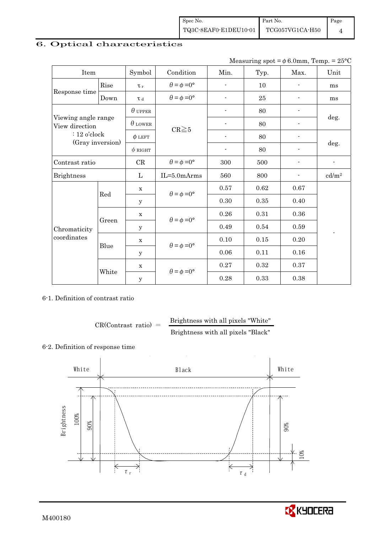| Spec No.              | Part No.        | Page |
|-----------------------|-----------------|------|
| TQ3C-8EAF0-E1DEU10-01 | TCG057VG1CA-H50 |      |

# 6. Optical characteristics

| Item                                  |       | Symbol         | Condition                   | Min.                     | Typ. | Max.                     | Unit                     |  |
|---------------------------------------|-------|----------------|-----------------------------|--------------------------|------|--------------------------|--------------------------|--|
|                                       | Rise  | $\tau_r$       | $\theta = \phi = 0^{\circ}$ | $\overline{\phantom{a}}$ | 10   | $\overline{\phantom{a}}$ | ms                       |  |
| Response time                         | Down  | $\tau$ d       | $\theta = \phi = 0^{\circ}$ | $\overline{a}$           | 25   |                          | ms                       |  |
|                                       |       | $\theta$ upper |                             |                          | 80   |                          |                          |  |
| Viewing angle range<br>View direction |       | $\theta$ lower | $CR \ge 5$                  |                          | 80   |                          | deg.                     |  |
| $: 12$ o'clock                        |       | $\phi$ LEFT    |                             |                          | 80   |                          |                          |  |
| (Gray inversion)                      |       | $\phi$ right   |                             | $\overline{\phantom{a}}$ | 80   | $\overline{\phantom{a}}$ | deg.                     |  |
| Contrast ratio                        |       | CR             | $\theta = \phi = 0^{\circ}$ | 300                      | 500  |                          | $\overline{\phantom{a}}$ |  |
| <b>Brightness</b>                     |       | L              | $IL = 5.0 mArms$            | 560                      | 800  |                          | cd/m <sup>2</sup>        |  |
|                                       | Red   | $\mathbf X$    | $\theta = \phi = 0^{\circ}$ | 0.57                     | 0.62 | 0.67                     |                          |  |
|                                       |       | у              |                             | 0.30                     | 0.35 | 0.40                     |                          |  |
|                                       |       | $\mathbf X$    | $\theta = \phi = 0^{\circ}$ | 0.26                     | 0.31 | 0.36                     |                          |  |
| Chromaticity<br>coordinates           | Green | У              |                             | 0.49                     | 0.54 | 0.59                     |                          |  |
|                                       |       | $\mathbf X$    | $\theta = \phi = 0^{\circ}$ | 0.10                     | 0.15 | 0.20                     |                          |  |
|                                       | Blue  | у              |                             | 0.06                     | 0.11 | 0.16                     |                          |  |
|                                       |       | $\mathbf X$    | $\theta = \phi = 0^{\circ}$ | 0.27                     | 0.32 | 0.37                     |                          |  |
|                                       | White | y              |                             | 0.28                     | 0.33 | 0.38                     |                          |  |

#### 6-1. Definition of contrast ratio

$$
CR(Contrast ratio) = \frac{Brightness with all pixels "White" }{Brightness with all pixels "Black" }
$$

### 6-2. Definition of response time



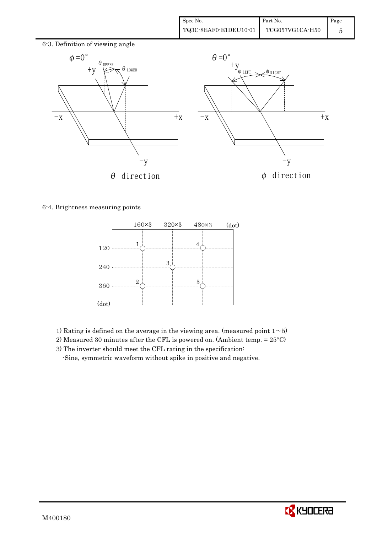

#### 6-4. Brightness measuring points



- 1) Rating is defined on the average in the viewing area. (measured point  $1\mathtt{\sim}5)$
- 2) Measured 30 minutes after the CFL is powered on. (Ambient temp. = 25°C)
- 3) The inverter should meet the CFL rating in the specification:

-Sine, symmetric waveform without spike in positive and negative.

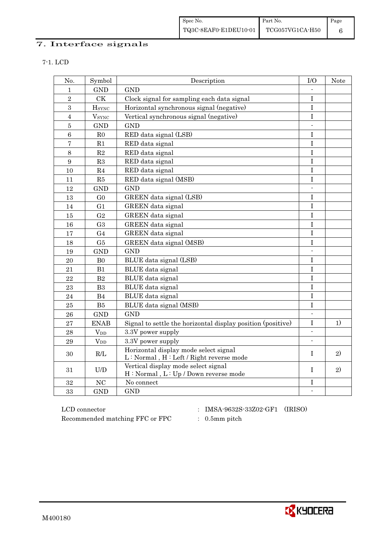| Spec No.              | Part No.        | Page |
|-----------------------|-----------------|------|
| TQ3C-8EAF0-E1DEU10-01 | TCG057VG1CA-H50 |      |

### 7. Interface signals

| ×<br>٧ |  |
|--------|--|
|        |  |

| No.              | Symbol                   | Description                                                 | I/O                      | Note |
|------------------|--------------------------|-------------------------------------------------------------|--------------------------|------|
| 1                | <b>GND</b>               | <b>GND</b>                                                  |                          |      |
| $\overline{2}$   | CK                       | Clock signal for sampling each data signal                  | $\bf I$                  |      |
| $\overline{3}$   | <b>H</b> <sub>SYNC</sub> | Horizontal synchronous signal (negative)                    | $\mathbf I$              |      |
| $\overline{4}$   | <b>V</b> <sub>SYNC</sub> | Vertical synchronous signal (negative)                      | $\mathbf I$              |      |
| $\bf 5$          | <b>GND</b>               | <b>GND</b>                                                  | $\mathcal{L}$            |      |
| $6\phantom{1}6$  | R <sub>0</sub>           | RED data signal (LSB)                                       | $\mathbf I$              |      |
| $\overline{7}$   | R1                       | RED data signal                                             | $\mathbf I$              |      |
| 8                | R2                       | RED data signal                                             | I                        |      |
| $\boldsymbol{9}$ | R3                       | RED data signal                                             | $\mathbf I$              |      |
| 10               | R <sub>4</sub>           | RED data signal                                             | I                        |      |
| 11               | R5                       | RED data signal (MSB)                                       | I                        |      |
| 12               | <b>GND</b>               | <b>GND</b>                                                  | $\overline{\phantom{a}}$ |      |
| 13               | G <sub>0</sub>           | GREEN data signal (LSB)                                     | $\bf I$                  |      |
| 14               | G <sub>1</sub>           | GREEN data signal                                           | $\mathbf I$              |      |
| 15               | G <sub>2</sub>           | GREEN data signal                                           | I                        |      |
| 16               | G <sub>3</sub>           | GREEN data signal                                           | $\mathbf I$              |      |
| 17               | G <sub>4</sub>           | GREEN data signal                                           | T                        |      |
| 18               | G5                       | GREEN data signal (MSB)                                     | I                        |      |
| 19               | <b>GND</b>               | <b>GND</b>                                                  |                          |      |
| 20               | B <sub>0</sub>           | BLUE data signal (LSB)                                      | $\bf I$                  |      |
| 21               | B1                       | <b>BLUE</b> data signal                                     | $\bf I$                  |      |
| 22               | B2                       | BLUE data signal                                            | $\mathbf I$              |      |
| 23               | B <sub>3</sub>           | BLUE data signal                                            | $\mathbf I$              |      |
| 24               | B <sub>4</sub>           | BLUE data signal                                            | $\mathbf I$              |      |
| 25               | B5                       | BLUE data signal (MSB)                                      | I                        |      |
| 26               | <b>GND</b>               | <b>GND</b>                                                  | $\blacksquare$           |      |
| 27               | <b>ENAB</b>              | Signal to settle the horizontal display position (positive) | $\bf I$                  | 1)   |
| 28               | <b>V</b> <sub>DD</sub>   | 3.3V power supply                                           | $\overline{\phantom{a}}$ |      |
| 29               | $V_{DD}$                 | 3.3V power supply                                           |                          |      |
| 30               | R/L                      | Horizontal display mode select signal                       | $\mathbf{I}$             | 2)   |
|                  |                          | L: Normal, H: Left / Right reverse mode                     |                          |      |
| 31               | U/D                      | Vertical display mode select signal                         | T                        | 2)   |
|                  |                          | H: Normal, L: Up / Down reverse mode                        |                          |      |
| 32               | NC                       | No connect                                                  | I                        |      |
| 33               | <b>GND</b>               | <b>GND</b>                                                  | $\blacksquare$           |      |

 ${\rm LCD~connector}~~:~~{\rm IMSA\text{-}9632S\text{-}33Z02\text{-}GF1}~~({\rm IRISO})$ Recommended matching FFC or FPC : 0.5mm pitch

- 
- 

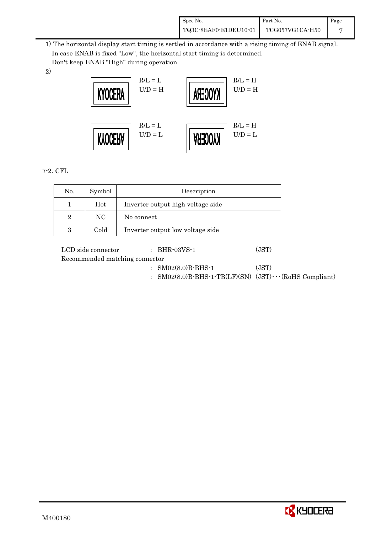| Spec No.              | Part No.        | Page |
|-----------------------|-----------------|------|
| TQ3C-8EAF0-E1DEU10-01 | TCG057VG1CA-H50 |      |

 1) The horizontal display start timing is settled in accordance with a rising timing of ENAB signal. In case ENAB is fixed "Low", the horizontal start timing is determined.

Don't keep ENAB "High" during operation.

2)



7-2. CFL

| No.            | Symbol | Description                       |
|----------------|--------|-----------------------------------|
|                | Hot    | Inverter output high voltage side |
| $\overline{2}$ | NC.    | No connect                        |
| 3              | Cold   | Inverter output low voltage side  |

| LCD side connector             | $\therefore$ BHR-03VS-1                                                                 | (JST) |
|--------------------------------|-----------------------------------------------------------------------------------------|-------|
| Recommended matching connector |                                                                                         |       |
|                                | $: SM02(8.0)B-BHS-1$<br>: $SMO2(8.0)B-BHS-1-TB(LF)(SN)$ (JST) $\cdots$ (RoHS Compliant) | (JST) |

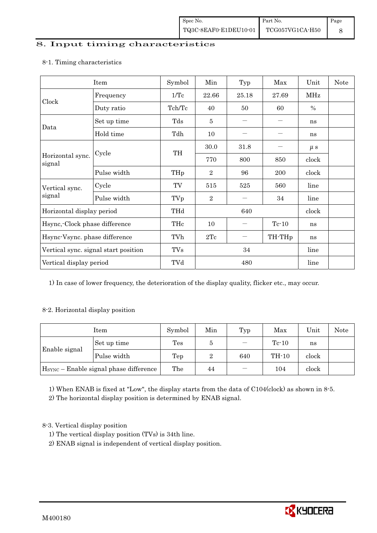#### 8. Input timing characteristics

# Item Symbol Min Typ Max Unit Note Frequency 1/Tc 22.66 25.18 27.69 MHz Clock Duty ratio  $Tch/Tc$  40 50 60 % Set up time Tds 5 ) ) ns Data Hold time  $\left| \begin{array}{ccc} \text{Tdh} & \text{10} \\ \text{10} & \text{--} \\ \end{array} \right|$  ns  $30.0$   $31.8$   $\mu s$ Cycle TH Horizontal sync. Cycle TH 770 800 850 clock signal Pulse width  $THp \mid 2 \mid 96 \mid 200 \mid clock$ Cycle TV 515 525 560 line Vertical sync. signal Pulse width TVp 2 ) 34 line Horizontal display period THd 640 640 clock Hsync,-Clock phase difference  $\vert$  THc  $\vert$  10  $\vert$  - Tc-10  $\vert$  ns Hsync-Vsync. phase difference  $\vert$  TVh  $\vert$  2Tc  $\vert$  - TH-THp  $\vert$  ns Vertical sync. signal start position TVs 34 line Vertical display period  $\overline{V}$  TVd  $\overline{480}$  line

#### 8-1. Timing characteristics

1) In case of lower frequency, the deterioration of the display quality, flicker etc., may occur.

#### 8-2. Horizontal display position

|                                                    | Symbol      | Min            | Typ | Max                           | Unit    | <b>Note</b> |  |
|----------------------------------------------------|-------------|----------------|-----|-------------------------------|---------|-------------|--|
|                                                    | Set up time | $\mathrm{Tes}$ | Ð   | $\overbrace{\phantom{13333}}$ | $Tc-10$ | ns          |  |
| Enable signal                                      | Pulse width | Tep            | 2   | 640                           | TH-10   | clock       |  |
| H <sub>SYNC</sub> – Enable signal phase difference |             | The            | 44  |                               | 104     | clock       |  |

1) When ENAB is fixed at "Low", the display starts from the data of C104(clock) as shown in 8-5.

2) The horizontal display position is determined by ENAB signal.

#### 8-3. Vertical display position

- 1) The vertical display position (TVs) is 34th line.
- 2) ENAB signal is independent of vertical display position.

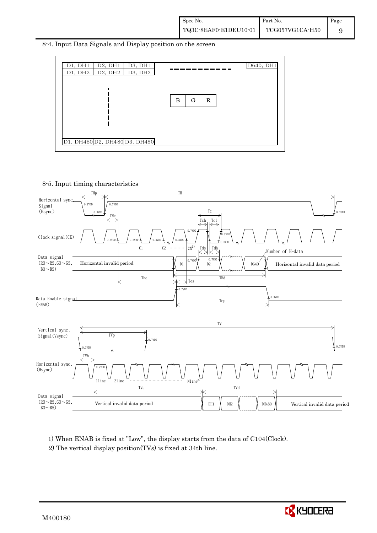8-4. Input Data Signals and Display position on the screen



8-5. Input timing characteristics



1) When ENAB is fixed at "Low", the display starts from the data of C104(Clock). 2) The vertical display position(TVs) is fixed at 34th line.

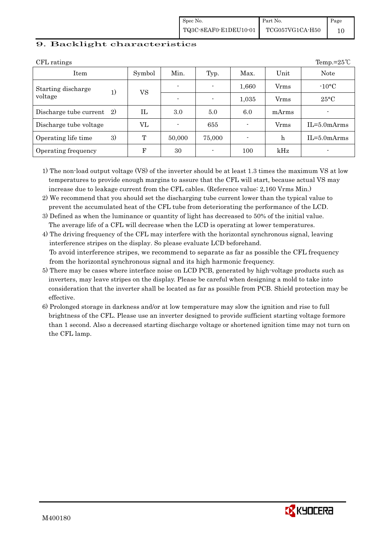| Spec No.              | Part No.        | Page |
|-----------------------|-----------------|------|
| TQ3C-8EAF0-E1DEU10-01 | TCG057VG1CA-H50 |      |

#### 9. Backlight characteristics

| CFL ratings                   | Temp.= $25^{\circ}$ C |            |                          |        |       |             |                          |  |  |
|-------------------------------|-----------------------|------------|--------------------------|--------|-------|-------------|--------------------------|--|--|
| Item                          |                       | Symbol     | Min.                     | Typ.   | Max.  | Unit        | <b>Note</b>              |  |  |
| Starting discharge<br>voltage | 1)                    | <b>VS</b>  | $\overline{\phantom{0}}$ |        | 1,660 | Vrms        | $-10\degree C$           |  |  |
|                               |                       |            | $\overline{\phantom{0}}$ |        | 1,035 | Vrms        | $25^{\circ}$ C           |  |  |
| Discharge tube current 2)     |                       | Ш          | 3.0                      | 5.0    | 6.0   | mArms       | $\overline{\phantom{a}}$ |  |  |
| Discharge tube voltage        |                       | VL         |                          | 655    |       | Vrms        | $IL = 5.0 mArms$         |  |  |
| Operating life time           | 3)                    | T          | 50,000                   | 75,000 |       | $\mathbf h$ | $IL = 5.0 mArms$         |  |  |
| Operating frequency           |                       | $_{\rm F}$ | 30                       |        | 100   | kHz         | ٠                        |  |  |

1) The non-load output voltage (VS) of the inverter should be at least 1.3 times the maximum VS at low temperatures to provide enough margins to assure that the CFL will start, because actual VS may increase due to leakage current from the CFL cables. (Reference value: 2,160 Vrms Min.)

2) We recommend that you should set the discharging tube current lower than the typical value to prevent the accumulated heat of the CFL tube from deteriorating the performance of the LCD.

3) Defined as when the luminance or quantity of light has decreased to 50% of the initial value. The average life of a CFL will decrease when the LCD is operating at lower temperatures.

4) The driving frequency of the CFL may interfere with the horizontal synchronous signal, leaving interference stripes on the display. So please evaluate LCD beforehand. To avoid interference stripes, we recommend to separate as far as possible the CFL frequency from the horizontal synchronous signal and its high harmonic frequency.

- 5) There may be cases where interface noise on LCD PCB, generated by high-voltage products such as inverters, may leave stripes on the display. Please be careful when designing a mold to take into consideration that the inverter shall be located as far as possible from PCB. Shield protection may be effective.
- 6) Prolonged storage in darkness and/or at low temperature may slow the ignition and rise to full brightness of the CFL. Please use an inverter designed to provide sufficient starting voltage formore than 1 second. Also a decreased starting discharge voltage or shortened ignition time may not turn on the CFL lamp.

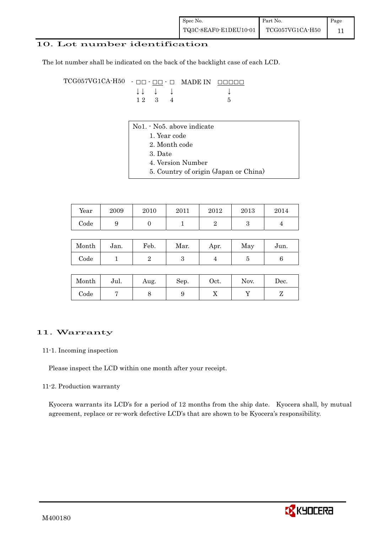| Spec No.              | Part No.        | Page |
|-----------------------|-----------------|------|
| TQ3C-8EAF0-E1DEU10-01 | TCG057VG1CA-H50 |      |

#### 10. Lot number identification

The lot number shall be indicated on the back of the backlight case of each LCD.

 $TCG057VG1CA-H50 - \Box\Box - \underline{\Box\Box} - \Box$  MADE IN  $\Box\Box\Box\Box$  $\downarrow \downarrow \quad \downarrow \qquad \qquad \downarrow$  $1 2 3 4 5$ 

- No1. No5. above indicate
	- 1. Year code
		- 2. Month code
		- 3. Date
		- 4. Version Number
	- 5. Country of origin (Japan or China)

| Year       | 2009 | 2010 | 2011 | 2012 | 2013 | 2014 |
|------------|------|------|------|------|------|------|
| $\rm Code$ | ັ    |      |      |      |      |      |

| Month      | Jan. | Feb. | Mar. | Apr. | May | Jun. |
|------------|------|------|------|------|-----|------|
| $\rm Code$ |      |      |      |      |     |      |

| Month | Jul. | Aug. | Sep. | $_{\rm Oct.}$ | Nov. | Dec. |
|-------|------|------|------|---------------|------|------|
| Code  |      |      | ◡    | ∡⊾            |      |      |

#### 11. Warranty

#### 11-1. Incoming inspection

Please inspect the LCD within one month after your receipt.

#### 11-2. Production warranty

 Kyocera warrants its LCD's for a period of 12 months from the ship date. Kyocera shall, by mutual agreement, replace or re-work defective LCD's that are shown to be Kyocera's responsibility.

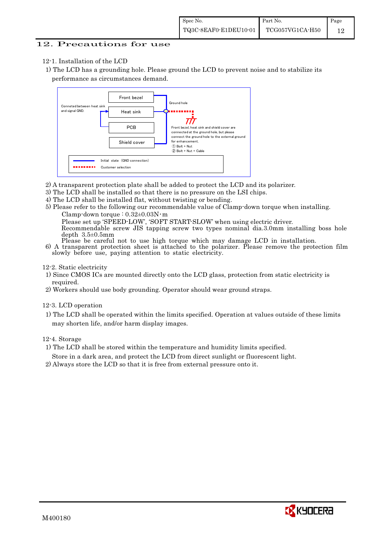#### 12. Precautions for use

- 12-1. Installation of the LCD
- 1) The LCD has a grounding hole. Please ground the LCD to prevent noise and to stabilize its performance as circumstances demand.



- 2) A transparent protection plate shall be added to protect the LCD and its polarizer.
- 3) The LCD shall be installed so that there is no pressure on the LSI chips.
- 4) The LCD shall be installed flat, without twisting or bending.
- 5) Please refer to the following our recommendable value of Clamp-down torque when installing.

Clamp-down torque :  $0.32\pm0.03$ N·m Please set up 'SPEED-LOW', 'SOFT START-SLOW' when using electric driver.

Recommendable screw JIS tapping screw two types nominal dia.3.0mm installing boss hole

- depth 3.5±0.5mm<br>Please be careful not to use high torque which may damage LCD in installation.
- 6) A transparent protection sheet is attached to the polarizer. Please remove the protection film slowly before use, paying attention to static electricity.

12-2. Static electricity

- 1) Since CMOS ICs are mounted directly onto the LCD glass, protection from static electricity is required.
- 2) Workers should use body grounding. Operator should wear ground straps.

12-3. LCD operation

1) The LCD shall be operated within the limits specified. Operation at values outside of these limits may shorten life, and/or harm display images.

12-4. Storage

1) The LCD shall be stored within the temperature and humidity limits specified.

Store in a dark area, and protect the LCD from direct sunlight or fluorescent light.

2) Always store the LCD so that it is free from external pressure onto it.

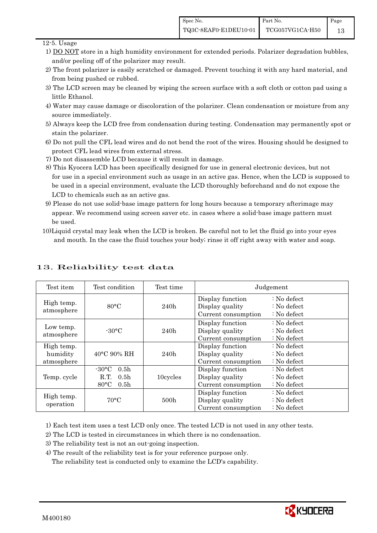#### 12-5. Usage

- 1) DO NOT store in a high humidity environment for extended periods. Polarizer degradation bubbles, and/or peeling off of the polarizer may result.
- 2) The front polarizer is easily scratched or damaged. Prevent touching it with any hard material, and from being pushed or rubbed.
- 3) The LCD screen may be cleaned by wiping the screen surface with a soft cloth or cotton pad using a little Ethanol.
- 4) Water may cause damage or discoloration of the polarizer. Clean condensation or moisture from any source immediately.
- 5) Always keep the LCD free from condensation during testing. Condensation may permanently spot or stain the polarizer.
- 6) Do not pull the CFL lead wires and do not bend the root of the wires. Housing should be designed to protect CFL lead wires from external stress.
- 7) Do not disassemble LCD because it will result in damage.
- 8) This Kyocera LCD has been specifically designed for use in general electronic devices, but not for use in a special environment such as usage in an active gas. Hence, when the LCD is supposed to be used in a special environment, evaluate the LCD thoroughly beforehand and do not expose the LCD to chemicals such as an active gas.
- 9) Please do not use solid-base image pattern for long hours because a temporary afterimage may appear. We recommend using screen saver etc. in cases where a solid-base image pattern must be used.
- 10)Liquid crystal may leak when the LCD is broken. Be careful not to let the fluid go into your eyes and mouth. In the case the fluid touches your body; rinse it off right away with water and soap.

| Test item                            | Test condition                                                                                       | Test time                                                          |                                                            | Judgement                                                                  |
|--------------------------------------|------------------------------------------------------------------------------------------------------|--------------------------------------------------------------------|------------------------------------------------------------|----------------------------------------------------------------------------|
| High temp.<br>atmosphere             | $80^{\circ}$ C                                                                                       | Display function<br>Display quality<br>240h<br>Current consumption |                                                            | $\therefore$ No defect<br>$\therefore$ No defect<br>$\therefore$ No defect |
| Low temp.<br>atmosphere              | $-30^{\circ}$ C                                                                                      | 240h                                                               | Display function<br>Display quality<br>Current consumption | $\therefore$ No defect<br>$\therefore$ No defect<br>$\therefore$ No defect |
| High temp.<br>humidity<br>atmosphere | $40^{\circ}$ C 90% RH                                                                                | 240h                                                               | Display function<br>Display quality<br>Current consumption | : No defect<br>$\therefore$ No defect<br>$\therefore$ No defect            |
| Temp. cycle                          | $-30\degree C$<br>0.5 <sub>h</sub><br>R.T.<br>0.5 <sub>h</sub><br>$80^{\circ}$ C<br>0.5 <sub>h</sub> | 10cycles                                                           | Display function<br>Display quality<br>Current consumption | $\therefore$ No defect<br>$\therefore$ No defect<br>$\therefore$ No defect |
| High temp.<br>operation              | $70^{\circ}$ C                                                                                       | 500 <sub>h</sub>                                                   | Display function<br>Display quality<br>Current consumption | : No defect<br>$\therefore$ No defect<br>: No defect                       |

### 13. Reliability test data

1) Each test item uses a test LCD only once. The tested LCD is not used in any other tests.

2) The LCD is tested in circumstances in which there is no condensation.

3) The reliability test is not an out-going inspection.

4) The result of the reliability test is for your reference purpose only.

The reliability test is conducted only to examine the LCD's capability.

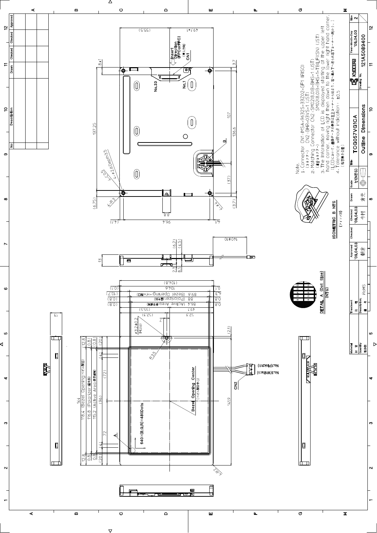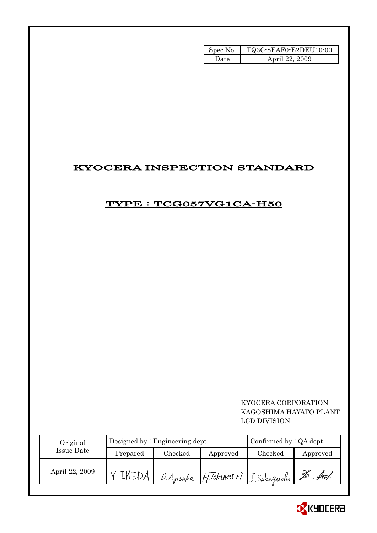| Spec No. | TQ3C-8EAF0-E2DEU10-00 |
|----------|-----------------------|
| Date.    | April 22, 2009        |

# KYOCERA INSPECTION STANDARD

### TYPE : TCG057VG1CA-H50

### KYOCERA CORPORATION KAGOSHIMA HAYATO PLANT LCD DIVISION

| Original       | Designed by: Engineering dept. |               | Confirmed by $:QA$ dept. |         |           |
|----------------|--------------------------------|---------------|--------------------------|---------|-----------|
| Issue Date     | Prepared                       | $\rm Checked$ | Approved                 | Checked | Approved  |
| April 22, 2009 |                                | O. Ajisaka    | H.Tokum(r) J.Sakaguchi   |         | ful<br>ŹО |

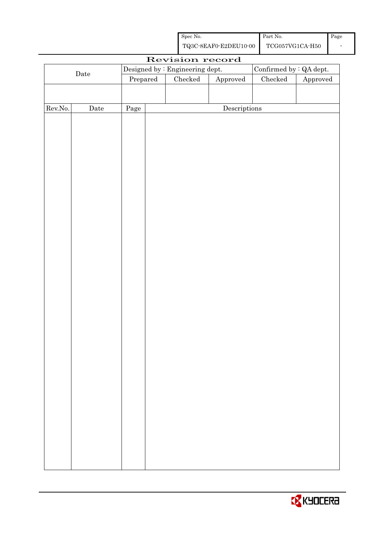| Spec No.              | Part No.        | Page |
|-----------------------|-----------------|------|
| TQ3C-8EAF0-E2DEU10-00 | TCG057VG1CA-H50 |      |

|         |             |          | Revision record                 |                                      |                          |                        |
|---------|-------------|----------|---------------------------------|--------------------------------------|--------------------------|------------------------|
|         |             |          | Designed by : Engineering dept. |                                      | Confirmed by $:QA$ dept. |                        |
|         | $\rm{Date}$ | Prepared | $\rm Checked$                   | ${\Large\bf Approved}$               | ${\it Checked}$          | ${\Large\bf Approved}$ |
|         |             |          |                                 |                                      |                          |                        |
|         |             |          |                                 |                                      |                          |                        |
| Rev.No. | $\rm{Date}$ | Page     |                                 | $\label{eq:2} \textbf{Descriptions}$ |                          |                        |
|         |             |          |                                 |                                      |                          |                        |
|         |             |          |                                 |                                      |                          |                        |
|         |             |          |                                 |                                      |                          |                        |
|         |             |          |                                 |                                      |                          |                        |
|         |             |          |                                 |                                      |                          |                        |
|         |             |          |                                 |                                      |                          |                        |
|         |             |          |                                 |                                      |                          |                        |
|         |             |          |                                 |                                      |                          |                        |
|         |             |          |                                 |                                      |                          |                        |
|         |             |          |                                 |                                      |                          |                        |
|         |             |          |                                 |                                      |                          |                        |
|         |             |          |                                 |                                      |                          |                        |
|         |             |          |                                 |                                      |                          |                        |
|         |             |          |                                 |                                      |                          |                        |
|         |             |          |                                 |                                      |                          |                        |
|         |             |          |                                 |                                      |                          |                        |
|         |             |          |                                 |                                      |                          |                        |
|         |             |          |                                 |                                      |                          |                        |
|         |             |          |                                 |                                      |                          |                        |
|         |             |          |                                 |                                      |                          |                        |
|         |             |          |                                 |                                      |                          |                        |
|         |             |          |                                 |                                      |                          |                        |
|         |             |          |                                 |                                      |                          |                        |
|         |             |          |                                 |                                      |                          |                        |
|         |             |          |                                 |                                      |                          |                        |
|         |             |          |                                 |                                      |                          |                        |
|         |             |          |                                 |                                      |                          |                        |
|         |             |          |                                 |                                      |                          |                        |
|         |             |          |                                 |                                      |                          |                        |
|         |             |          |                                 |                                      |                          |                        |
|         |             |          |                                 |                                      |                          |                        |
|         |             |          |                                 |                                      |                          |                        |
|         |             |          |                                 |                                      |                          |                        |
|         |             |          |                                 |                                      |                          |                        |
|         |             |          |                                 |                                      |                          |                        |

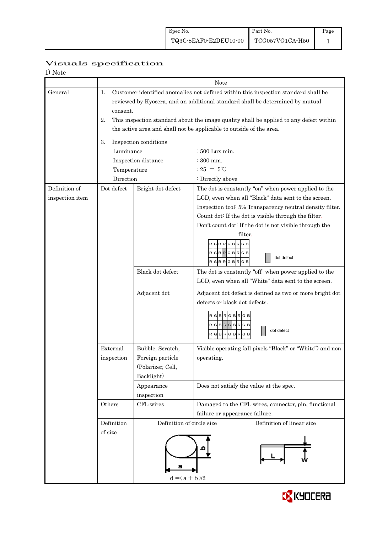| 1) Note         |                                                                                                                                                                                       |                                                                                        |                                                                                                              |  |  |  |  |  |  |
|-----------------|---------------------------------------------------------------------------------------------------------------------------------------------------------------------------------------|----------------------------------------------------------------------------------------|--------------------------------------------------------------------------------------------------------------|--|--|--|--|--|--|
|                 |                                                                                                                                                                                       |                                                                                        | Note                                                                                                         |  |  |  |  |  |  |
| General         | Customer identified anomalies not defined within this inspection standard shall be<br>1.<br>reviewed by Kyocera, and an additional standard shall be determined by mutual<br>consent. |                                                                                        |                                                                                                              |  |  |  |  |  |  |
|                 | 2.                                                                                                                                                                                    | This inspection standard about the image quality shall be applied to any defect within |                                                                                                              |  |  |  |  |  |  |
|                 |                                                                                                                                                                                       | the active area and shall not be applicable to outside of the area.                    |                                                                                                              |  |  |  |  |  |  |
|                 | 3.                                                                                                                                                                                    | Inspection conditions                                                                  |                                                                                                              |  |  |  |  |  |  |
|                 | Luminance                                                                                                                                                                             |                                                                                        | $\div 500$ Lux min.                                                                                          |  |  |  |  |  |  |
|                 |                                                                                                                                                                                       | Inspection distance                                                                    | $: 300$ mm.                                                                                                  |  |  |  |  |  |  |
|                 | Temperature<br>Direction                                                                                                                                                              |                                                                                        | $:25 \pm 5^{\circ}\text{C}$                                                                                  |  |  |  |  |  |  |
| Definition of   | Dot defect                                                                                                                                                                            | Bright dot defect                                                                      | : Directly above<br>The dot is constantly "on" when power applied to the                                     |  |  |  |  |  |  |
| inspection item |                                                                                                                                                                                       |                                                                                        | LCD, even when all "Black" data sent to the screen.                                                          |  |  |  |  |  |  |
|                 |                                                                                                                                                                                       |                                                                                        | Inspection tool: 5% Transparency neutral density filter.                                                     |  |  |  |  |  |  |
|                 |                                                                                                                                                                                       |                                                                                        | Count dot: If the dot is visible through the filter.                                                         |  |  |  |  |  |  |
|                 |                                                                                                                                                                                       |                                                                                        | Don't count dot: If the dot is not visible through the                                                       |  |  |  |  |  |  |
|                 |                                                                                                                                                                                       |                                                                                        | filter.<br>GBRGBRG<br>RGBRGBRGB<br>dot defect<br>RGBRGBRGB                                                   |  |  |  |  |  |  |
|                 |                                                                                                                                                                                       | Black dot defect                                                                       | The dot is constantly "off" when power applied to the<br>LCD, even when all "White" data sent to the screen. |  |  |  |  |  |  |
|                 |                                                                                                                                                                                       | Adjacent dot                                                                           | Adjacent dot defect is defined as two or more bright dot<br>defects or black dot defects.                    |  |  |  |  |  |  |
|                 |                                                                                                                                                                                       |                                                                                        | <b>BRGBR</b><br>RGBRGBRGB<br>dot defect<br><b>BR</b><br>R<br><b>GBR</b><br>G<br>G                            |  |  |  |  |  |  |
|                 | External                                                                                                                                                                              | Bubble, Scratch,                                                                       | Visible operating (all pixels "Black" or "White") and non                                                    |  |  |  |  |  |  |
|                 | inspection                                                                                                                                                                            | Foreign particle                                                                       | operating.                                                                                                   |  |  |  |  |  |  |
|                 |                                                                                                                                                                                       | (Polarizer, Cell,                                                                      |                                                                                                              |  |  |  |  |  |  |
|                 |                                                                                                                                                                                       | Backlight)                                                                             |                                                                                                              |  |  |  |  |  |  |
|                 |                                                                                                                                                                                       | Appearance<br>inspection                                                               | Does not satisfy the value at the spec.                                                                      |  |  |  |  |  |  |
|                 | Others                                                                                                                                                                                | CFL wires                                                                              | Damaged to the CFL wires, connector, pin, functional                                                         |  |  |  |  |  |  |
|                 |                                                                                                                                                                                       |                                                                                        | failure or appearance failure.                                                                               |  |  |  |  |  |  |
|                 | Definition                                                                                                                                                                            | Definition of circle size                                                              | Definition of linear size                                                                                    |  |  |  |  |  |  |
|                 | of size                                                                                                                                                                               | Э<br>$d = (a + b)/2$                                                                   |                                                                                                              |  |  |  |  |  |  |

# Visuals specification